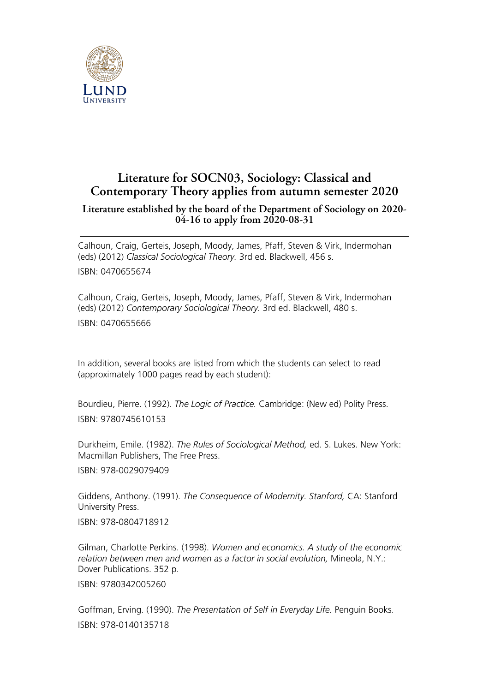

## **Literature for SOCN03, Sociology: Classical and Contemporary Theory applies from autumn semester 2020**

## **Literature established by the board of the Department of Sociology on 2020- 04-16 to apply from 2020-08-31**

Calhoun, Craig, Gerteis, Joseph, Moody, James, Pfaff, Steven & Virk, Indermohan (eds) (2012) *Classical Sociological Theory.* 3rd ed. Blackwell, 456 s. ISBN: 0470655674

Calhoun, Craig, Gerteis, Joseph, Moody, James, Pfaff, Steven & Virk, Indermohan (eds) (2012) *Contemporary Sociological Theory.* 3rd ed. Blackwell, 480 s. ISBN: 0470655666

In addition, several books are listed from which the students can select to read (approximately 1000 pages read by each student):

Bourdieu, Pierre. (1992). *The Logic of Practice.* Cambridge: (New ed) Polity Press. ISBN: 9780745610153

Durkheim, Emile. (1982). *The Rules of Sociological Method,* ed. S. Lukes. New York: Macmillan Publishers, The Free Press.

ISBN: 978-0029079409

Giddens, Anthony. (1991). *The Consequence of Modernity. Stanford,* CA: Stanford University Press.

ISBN: 978-0804718912

Gilman, Charlotte Perkins. (1998). *Women and economics. A study of the economic relation between men and women as a factor in social evolution,* Mineola, N.Y.: Dover Publications. 352 p.

ISBN: 9780342005260

Goffman, Erving. (1990). *The Presentation of Self in Everyday Life.* Penguin Books. ISBN: 978-0140135718